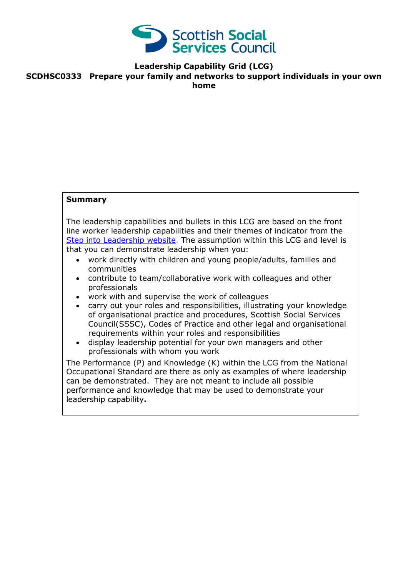

**Leadership Capability Grid (LCG)**

**SCDHSC0333 Prepare your family and networks to support individuals in your own home**

### **Summary**

The leadership capabilities and bullets in this LCG are based on the front line worker leadership capabilities and their themes of indicator from the [Step into Leadership website.](http://www.stepintoleadership.info/) The assumption within this LCG and level is that you can demonstrate leadership when you:

- work directly with children and young people/adults, families and communities
- contribute to team/collaborative work with colleagues and other professionals
- work with and supervise the work of colleagues
- carry out your roles and responsibilities, illustrating your knowledge of organisational practice and procedures, Scottish Social Services Council(SSSC), Codes of Practice and other legal and organisational requirements within your roles and responsibilities
- display leadership potential for your own managers and other professionals with whom you work

The Performance (P) and Knowledge (K) within the LCG from the National Occupational Standard are there as only as examples of where leadership can be demonstrated. They are not meant to include all possible performance and knowledge that may be used to demonstrate your leadership capability**.**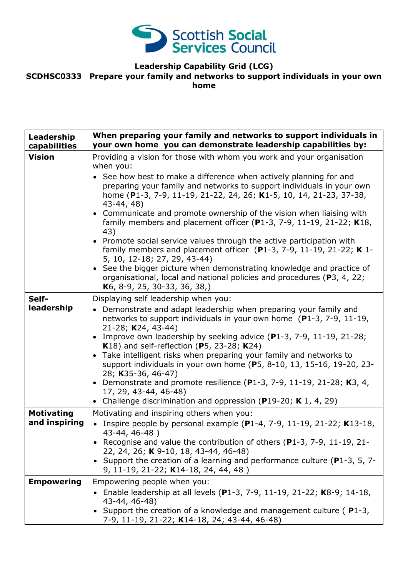

## **Leadership Capability Grid (LCG)**

#### **SCDHSC0333 Prepare your family and networks to support individuals in your own home**

| Leadership<br>capabilities | When preparing your family and networks to support individuals in<br>your own home you can demonstrate leadership capabilities by:                                                                                                                                                                                                                                                                                                                                                                                                                                                                                                                                                                                                                                      |
|----------------------------|-------------------------------------------------------------------------------------------------------------------------------------------------------------------------------------------------------------------------------------------------------------------------------------------------------------------------------------------------------------------------------------------------------------------------------------------------------------------------------------------------------------------------------------------------------------------------------------------------------------------------------------------------------------------------------------------------------------------------------------------------------------------------|
| <b>Vision</b>              | Providing a vision for those with whom you work and your organisation                                                                                                                                                                                                                                                                                                                                                                                                                                                                                                                                                                                                                                                                                                   |
|                            | when you:<br>• See how best to make a difference when actively planning for and<br>preparing your family and networks to support individuals in your own<br>home (P1-3, 7-9, 11-19, 21-22, 24, 26; K1-5, 10, 14, 21-23, 37-38,<br>43-44, 48)<br>Communicate and promote ownership of the vision when liaising with<br>family members and placement officer (P1-3, 7-9, 11-19, 21-22; $K18$ ,<br>43)<br>• Promote social service values through the active participation with<br>family members and placement officer $(P1-3, 7-9, 11-19, 21-22; K1-$<br>5, 10, 12-18; 27, 29, 43-44)<br>• See the bigger picture when demonstrating knowledge and practice of<br>organisational, local and national policies and procedures (P3, 4, 22;<br>K6, 8-9, 25, 30-33, 36, 38,) |
| Self-<br>leadership        | Displaying self leadership when you:<br>Demonstrate and adapt leadership when preparing your family and<br>networks to support individuals in your own home (P1-3, 7-9, 11-19,<br>21-28; K24, 43-44)<br>Improve own leadership by seeking advice (P1-3, 7-9, 11-19, 21-28;<br>K18) and self-reflection (P5, 23-28; K24)<br>Take intelligent risks when preparing your family and networks to<br>$\bullet$<br>support individuals in your own home (P5, 8-10, 13, 15-16, 19-20, 23-<br>28; K35-36, 46-47)<br>Demonstrate and promote resilience (P1-3, 7-9, 11-19, 21-28; K3, 4,<br>$\bullet$<br>17, 29, 43-44, 46-48)<br>• Challenge discrimination and oppression (P19-20; K 1, 4, 29)                                                                                 |
| <b>Motivating</b>          | Motivating and inspiring others when you:                                                                                                                                                                                                                                                                                                                                                                                                                                                                                                                                                                                                                                                                                                                               |
| and inspiring              | Inspire people by personal example (P1-4, 7-9, 11-19, 21-22; K13-18,                                                                                                                                                                                                                                                                                                                                                                                                                                                                                                                                                                                                                                                                                                    |
|                            | 43-44, 46-48)<br>• Recognise and value the contribution of others (P1-3, 7-9, 11-19, 21-<br>22, 24, 26; K 9-10, 18, 43-44, 46-48)<br>• Support the creation of a learning and performance culture (P1-3, 5, 7-<br>9, 11-19, 21-22; K14-18, 24, 44, 48)                                                                                                                                                                                                                                                                                                                                                                                                                                                                                                                  |
| <b>Empowering</b>          | Empowering people when you:                                                                                                                                                                                                                                                                                                                                                                                                                                                                                                                                                                                                                                                                                                                                             |
|                            | • Enable leadership at all levels (P1-3, 7-9, 11-19, 21-22; K8-9; 14-18,<br>43-44, 46-48)<br>Support the creation of a knowledge and management culture (P1-3,<br>7-9, 11-19, 21-22; K14-18, 24; 43-44, 46-48)                                                                                                                                                                                                                                                                                                                                                                                                                                                                                                                                                          |